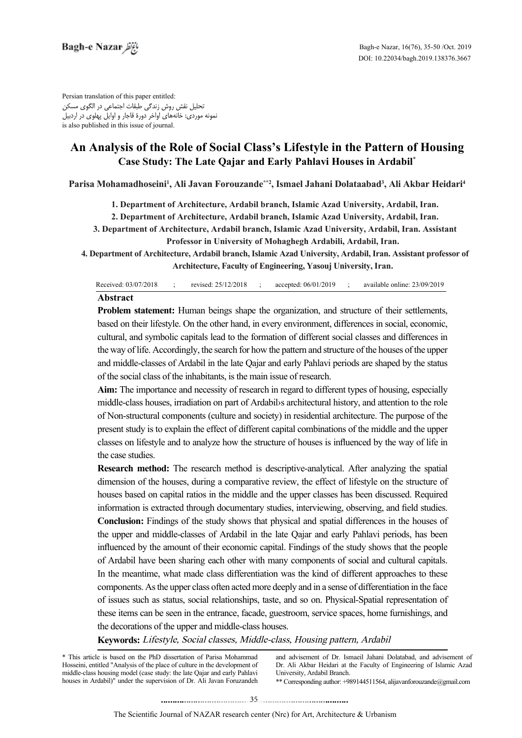Persian translation of this paper entitled: تحلیل نقش روش زندگی طبقات اجتماعی در الگوی مسکن نمونه موردی: خانههای اواخر دورۀ قاجار و اوایل پهلوی در اردبیل is also published in this issue of journal.

# An Analysis of the Role of Social Class's Lifestyle in the Pattern of Housing **Case Study: The Late Qajar and Early Pahlavi Houses in Ardabil\***

Parisa Mohamadhoseini<sup>1</sup>, Ali Javan Forouzande\*\*2, Ismael Jahani Dolataabad<sup>3</sup>, Ali Akbar Heidari<sup>4</sup>

1. Department of Architecture, Ardabil branch, Islamic Azad University, Ardabil, Iran.

2. Department of Architecture, Ardabil branch, Islamic Azad University, Ardabil, Iran.

 **3. Department of Architecture, Ardabil branch, Islamic Azad University, Ardabil, Iran. Assistant Professor in University of Mohaghegh Ardabili, Ardabil, Iran.** 

4. Department of Architecture, Ardabil branch, Islamic Azad University, Ardabil, Iran. Assistant professor of Architecture, Faculty of Engineering, Yasouj University, Iran.

| Received: 03/07/2018 | revised: 25/12/2018 ; |  | $\therefore$ accepted: 06/01/2019 $\therefore$ available online: 23/09/2019 |
|----------------------|-----------------------|--|-----------------------------------------------------------------------------|

### **Abstract**

**Problem statement:** Human beings shape the organization, and structure of their settlements, based on their lifestyle. On the other hand, in every environment, differences in social, economic, cultural, and symbolic capitals lead to the formation of different social classes and differences in the way of life. Accordingly, the search for how the pattern and structure of the houses of the upper and middle-classes of Ardabil in the late Qajar and early Pahlavi periods are shaped by the status of the social class of the inhabitants, is the main issue of research.

Aim: The importance and necessity of research in regard to different types of housing, especially middle-class houses, irradiation on part of Ardabil *s* architectural history, and attention to the role of Non-structural components (culture and society) in residential architecture. The purpose of the present study is to explain the effect of different capital combinations of the middle and the upper classes on lifestyle and to analyze how the structure of houses is influenced by the way of life in the case studies.

**Research method:** The research method is descriptive-analytical. After analyzing the spatial dimension of the houses, during a comparative review, the effect of lifestyle on the structure of houses based on capital ratios in the middle and the upper classes has been discussed. Required information is extracted through documentary studies, interviewing, observing, and field studies. **Conclusion:** Findings of the study shows that physical and spatial differences in the houses of the upper and middle-classes of Ardabil in the late Qajar and early Pahlavi periods, has been influenced by the amount of their economic capital. Findings of the study shows that the people of Ardabil have been sharing each other with many components of social and cultural capitals. In the meantime, what made class differentiation was the kind of different approaches to these components. As the upper class often acted more deeply and in a sense of differentiation in the face of issues such as status, social relationships, taste, and so on. Physical-Spatial representation of these items can be seen in the entrance, facade, guestroom, service spaces, home furnishings, and the decorations of the upper and middle-class houses.

Keywords: Lifestyle, Social classes, Middle-class, Housing pattern, Ardabil

\* This article is based on the PhD dissertation of Parisa Mohammad Hosseini, entitled "Analysis of the place of culture in the development of middle-class housing model (case study: the late Qajar and early Pahlavi houses in Ardabil)" under the supervision of Dr. Ali Javan Foruzandeh and advisement of Dr. Ismaeil Jahani Dolatabad, and advisement of Dr. Ali Akbar Heidari at the Faculty of Engineering of Islamic Azad University, Ardabil Branch.

\*\* Corresponding author:  $+989144511564$ , alijavanforouzande @gmail.com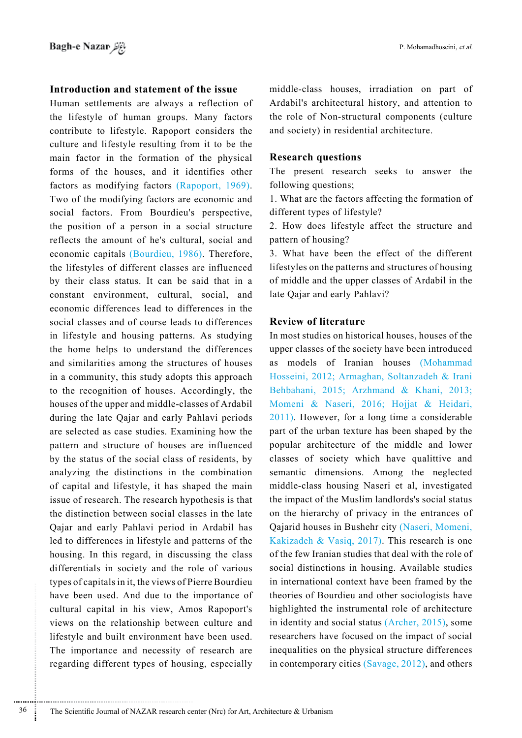## **Introduction and statement of the issue**

Human settlements are always a reflection of the lifestyle of human groups. Many factors contribute to lifestyle. Rapoport considers the culture and lifestyle resulting from it to be the main factor in the formation of the physical forms of the houses, and it identifies other factors as modifying factors (Rapoport, 1969). Two of the modifying factors are economic and social factors. From Bourdieu's perspective, the position of a person in a social structure reflects the amount of he's cultural, social and economic capitals (Bourdieu, 1986). Therefore, the lifestyles of different classes are influenced by their class status. It can be said that in a constant environment, cultural, social, and economic differences lead to differences in the social classes and of course leads to differences in lifestyle and housing patterns. As studying the home helps to understand the differences and similarities among the structures of houses in a community, this study adopts this approach to the recognition of houses. Accordingly, the houses of the upper and middle-classes of Ardabil during the late Qajar and early Pahlavi periods are selected as case studies. Examining how the pattern and structure of houses are influenced by the status of the social class of residents, by analyzing the distinctions in the combination of capital and lifestyle, it has shaped the main is sue of research. The research hypothesis is that the distinction between social classes in the late Qajar and early Pahlavi period in Ardabil has led to differences in lifestyle and patterns of the housing. In this regard, in discussing the class differentials in society and the role of various types of capitals in it, the views of Pierre Bourdieu have been used. And due to the importance of cultural capital in his view, Amos Rapoport's views on the relationship between culture and lifestyle and built environment have been used. The importance and necessity of research are regarding different types of housing, especially middle-class houses, irradiation on part of Ardabil's architectural history, and attention to the role of Non-structural components (culture and society) in residential architecture.

## **questions Research**

The present research seeks to answer the following questions;

1. What are the factors affecting the formation of different types of lifestyle?

2. How does lifestyle affect the structure and pattern of housing?

3. What have been the effect of the different lifestyles on the patterns and structures of housing of middle and the upper classes of Ardabil in the late Qajar and early Pahlavi?

## **Review of literature**

In most studies on historical houses, houses of the upper classes of the society have been introduced as models of Iranian houses (Mohammad Hosseini, 2012; Armaghan, Soltanzadeh & Irani Behbahani, 2015; Arzhmand & Khani, 2013; Momeni & Naseri, 2016; Hojjat & Heidari,  $2011$ ). However, for a long time a considerable part of the urban texture has been shaped by the popular architecture of the middle and lower classes of society which have qualittive and semantic dimensions. Among the neglected middle-class housing Naseri et al, investigated the impact of the Muslim landlords's social status on the hierarchy of privacy in the entrances of Qajarid houses in Bushehr city (Naseri, Momeni, Kakizadeh & Vasiq, 2017). This research is one of the few Iranian studies that deal with the role of social distinctions in housing. Available studies in international context have been framed by the theories of Bourdieu and other sociologists have highlighted the instrumental role of architecture in identity and social status (Archer,  $2015$ ), some researchers have focused on the impact of social inequalities on the physical structure differences in contemporary cities  $(Savage, 2012)$ , and others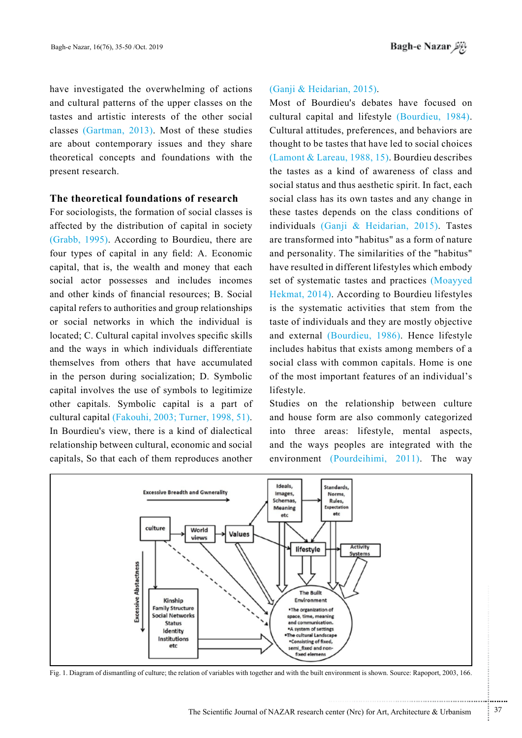have investigated the overwhelming of actions and cultural patterns of the upper classes on the tastes and artistic interests of the other social classes (Gartman,  $2013$ ). Most of these studies are about contemporary issues and they share theoretical concepts and foundations with the present research.

## **The theoretical foundations of research**

For sociologists, the formation of social classes is affected by the distribution of capital in society  $(Graph, 1995)$ . According to Bourdieu, there are four types of capital in any field: A. Economic capital, that is, the wealth and money that each social actor possesses and includes incomes and other kinds of financial resources; B. Social capital refers to authorities and group relationships or social networks in which the individual is located; C. Cultural capital involves specific skills and the ways in which individuals differentiate themselves from others that have accumulated in the person during socialization; D. Symbolic capital involves the use of symbols to legitimize other capitals. Symbolic capital is a part of cultural capital (Fakouhi, 2003; Turner, 1998, 51). In Bourdieu's view, there is a kind of dialectical relationship between cultural, economic and social capitals. So that each of them reproduces another

### $(Ganji & Heidarian, 2015)$ .

Most of Bourdieu's debates have focused on cultural capital and lifestyle (Bourdieu, 1984). Cultural attitudes, preferences, and behaviors are thought to be tastes that have led to social choices  $(Lamont & Lareau, 1988, 15)$ . Bourdieu describes the tastes as a kind of awareness of class and social status and thus aesthetic spirit. In fact, each social class has its own tastes and any change in these tastes depends on the class conditions of individuals (Ganji & Heidarian, 2015). Tastes are transformed into "habitus" as a form of nature and personality. The similarities of the "habitus" have resulted in different lifestyles which embody set of systematic tastes and practices (Moayyed Hekmat,  $2014$ ). According to Bourdieu lifestyles is the systematic activities that stem from the taste of individuals and they are mostly objective and external (Bourdieu, 1986). Hence lifestyle includes habitus that exists among members of a social class with common capitals. Home is one of the most important features of an individual's lifestyle.

Studies on the relationship between culture and house form are also commonly categorized into three areas: lifestyle, mental aspects, and the ways peoples are integrated with the environment (Pourdeihimi, 2011). The way



Fig. 1. Diagram of dismantling of culture; the relation of variables with together and with the built environment is shown. Source: Rapoport, 2003, 166.

...........................................................

.......... ....... ........ ........... ...... ....... ........ .......... ...........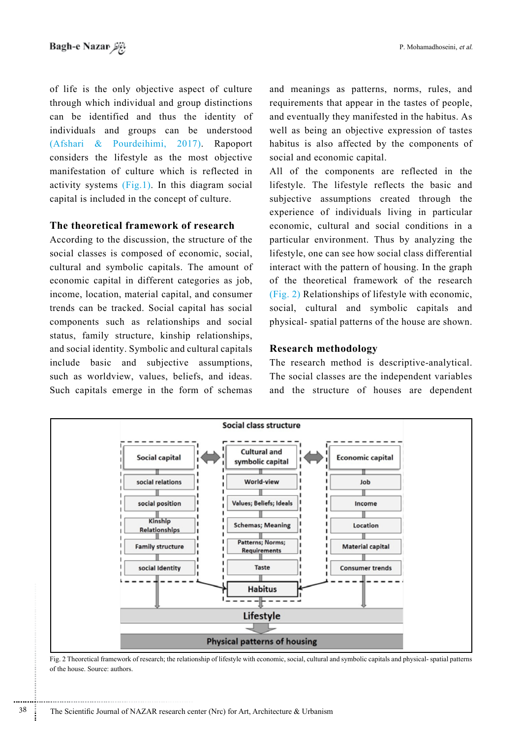of life is the only objective aspect of culture through which individual and group distinctions can be identified and thus the identity of individuals and groups can be understood  $(Afshari & Pourdeihimi, 2017)$ . Rapoport considers the lifestyle as the most objective manifestation of culture which is reflected in activity systems  $(Fig.1)$ . In this diagram social capital is included in the concept of culture.

# **The theoretical framework of research**

According to the discussion, the structure of the social classes is composed of economic, social, cultural and symbolic capitals. The amount of economic capital in different categories as job, income, location, material capital, and consumer trends can be tracked. Social capital has social components such as relationships and social status, family structure, kinship relationships, and social identity. Symbolic and cultural capitals include basic and subjective assumptions, such as worldview, values, beliefs, and ideas. Such capitals emerge in the form of schemas

and meanings as patterns, norms, rules, and requirements that appear in the tastes of people, and eventually they manifested in the habitus. As well as being an objective expression of tastes habitus is also affected by the components of social and economic capital.

All of the components are reflected in the lifestyle. The lifestyle reflects the basic and subjective assumptions created through the experience of individuals living in particular economic, cultural and social conditions in a particular environment. Thus by analyzing the lifestyle, one can see how social class differential interact with the pattern of housing. In the graph of the theoretical framework of the research  $(Fig. 2)$  Relationships of lifestyle with economic, social, cultural and symbolic capitals and physical- spatial patterns of the house are shown.

## **methodology Research**

The research method is descriptive-analytical. The social classes are the independent variables and the structure of houses are dependent



Fig. 2 Theoretical framework of research; the relationship of lifestyle with economic, social, cultural and symbolic capitals and physical- spatial patterns of the house. Source: authors.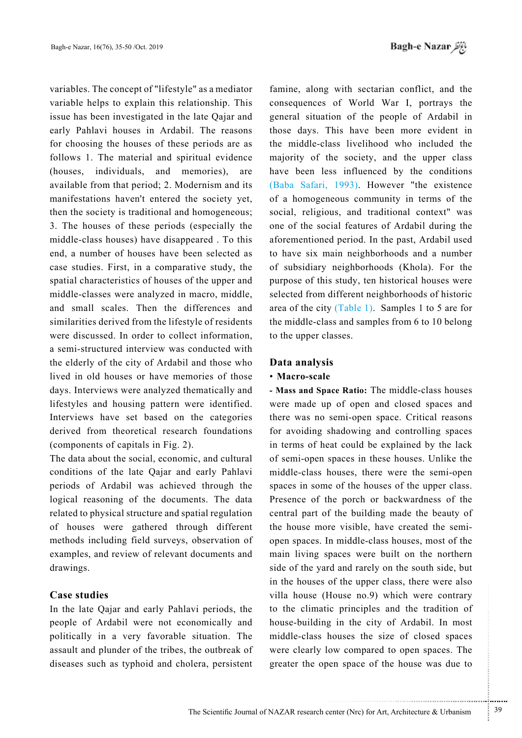variables. The concept of "lifestyle" as a mediator variable helps to explain this relationship. This issue has been investigated in the late Qajar and early Pahlavi houses in Ardabil. The reasons for choosing the houses of these periods are as follows 1. The material and spiritual evidence (houses, individuals, and memories), are available from that period; 2. Modernism and its manifestations haven't entered the society yet. then the society is traditional and homogeneous; 3. The houses of these periods (especially the middle-class houses) have disappeared . To this end, a number of houses have been selected as case studies. First, in a comparative study, the spatial characteristics of houses of the upper and middle-classes were analyzed in macro, middle, and small scales. Then the differences and similarities derived from the lifestyle of residents were discussed. In order to collect information, a semi-structured interview was conducted with the elderly of the city of Ardabil and those who lived in old houses or have memories of those days. Interviews were analyzed thematically and lifestyles and housing pattern were identified. Interviews have set based on the categories derived from theoretical research foundations (components of capitals in Fig.  $2$ ).

The data about the social, economic, and cultural conditions of the late Qajar and early Pahlavi periods of Ardabil was achieved through the logical reasoning of the documents. The data related to physical structure and spatial regulation of houses were gathered through different methods including field surveys, observation of examples, and review of relevant documents and drawings.

## **Case** studies

In the late Qajar and early Pahlavi periods, the people of Ardabil were not economically and politically in a very favorable situation. The assault and plunder of the tribes, the outbreak of diseases such as typhoid and cholera, persistent

famine, along with sectarian conflict, and the consequences of World War I, portrays the general situation of the people of Ardabil in those days. This have been more evident in the middle-class livelihood who included the majority of the society, and the upper class have been less influenced by the conditions (Baba Safari, 1993). However "the existence of a homogeneous community in terms of the social, religious, and traditional context" was one of the social features of Ardabil during the aforementioned period. In the past, Ardabil used to have six main neighborhoods and a number of subsidiary neighborhoods (Khola). For the purpose of this study, ten historical houses were selected from different neighborhoods of historic area of the city (Table 1). Samples 1 to 5 are for the middle-class and samples from  $6$  to 10 belong to the upper classes.

## **Data** analysis

## • Macro-scale

- Mass and Space Ratio: The middle-class houses were made up of open and closed spaces and there was no semi-open space. Critical reasons for avoiding shadowing and controlling spaces in terms of heat could be explained by the lack of semi-open spaces in these houses. Unlike the middle-class houses, there were the semi-open spaces in some of the houses of the upper class. Presence of the porch or backwardness of the central part of the building made the beauty of open spaces. In middle-class houses, most of the the house more visible, have created the semimain living spaces were built on the northern side of the yard and rarely on the south side, but in the houses of the upper class, there were also villa house (House no.9) which were contrary to the climatic principles and the tradition of house-building in the city of Ardabil. In most middle-class houses the size of closed spaces were clearly low compared to open spaces. The greater the open space of the house was due to

...........................................................

.......... ....... ........ ........... ...... ....... ........ .......... ...........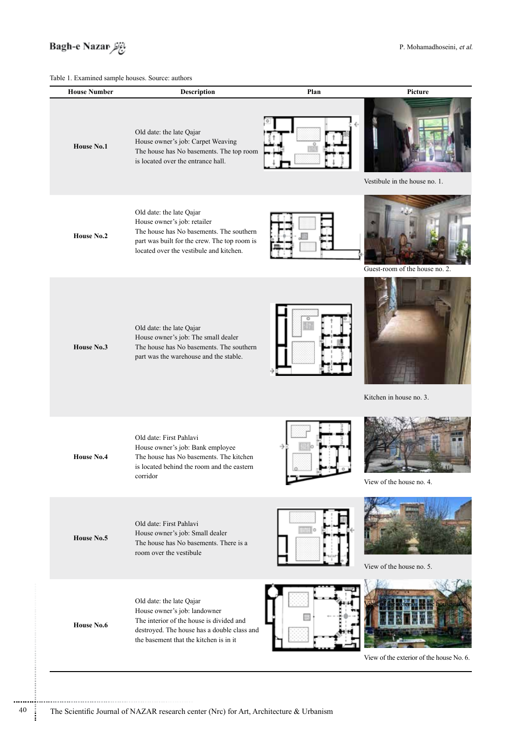

# Table 1. Examined sample houses Source: auth

| <b>House Number</b> | <b>Description</b>                                                                                                                                                                             | Plan | Picture                                  |
|---------------------|------------------------------------------------------------------------------------------------------------------------------------------------------------------------------------------------|------|------------------------------------------|
| <b>House No.1</b>   | Old date: the late Qajar<br>House owner's job: Carpet Weaving<br>The house has No basements. The top room<br>is located over the entrance hall.                                                |      | Vestibule in the house no. 1.            |
| House No.2          | Old date: the late Qajar<br>House owner's job: retailer<br>The house has No basements. The southern<br>part was built for the crew. The top room is<br>located over the vestibule and kitchen. |      | Guest-room of the house no. 2.           |
| House No.3          | Old date: the late Qajar<br>House owner's job: The small dealer<br>The house has No basements. The southern<br>part was the warehouse and the stable.                                          |      | Kitchen in house no. 3.                  |
| <b>House No.4</b>   | Old date: First Pahlavi<br>House owner's job: Bank employee<br>The house has No basements. The kitchen<br>is located behind the room and the eastern<br>corridor                               | -3   | View of the house no. 4.                 |
| House No.5          | Old date: First Pahlavi<br>House owner's job: Small dealer<br>The house has No basements. There is a<br>room over the vestibule                                                                |      | View of the house no. 5.                 |
| House No.6          | Old date: the late Qajar<br>House owner's job: landowner<br>The interior of the house is divided and<br>destroyed. The house has a double class and<br>the basement that the kitchen is in it  |      | View of the exterior of the house No. 6. |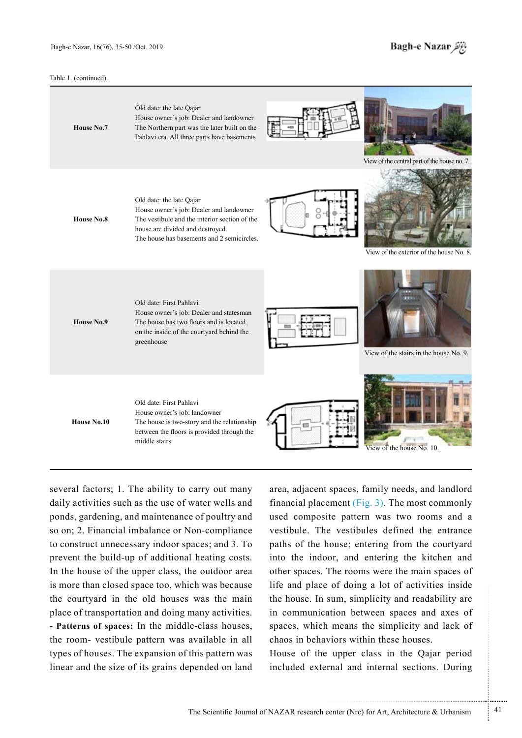#### Table 1. (continued).



several factors: 1. The ability to carry out many daily activities such as the use of water wells and ponds, gardening, and maintenance of poultry and so on; 2. Financial imbalance or Non-compliance to construct unnecessary indoor spaces; and 3. To prevent the build-up of additional heating costs. In the house of the upper class, the outdoor area is more than closed space too, which was because the courtyard in the old houses was the main place of transportation and doing many activities. - Patterns of spaces: In the middle-class houses, the room- vestibule pattern was available in all types of houses. The expansion of this pattern was linear and the size of its grains depended on land

area, adjacent spaces, family needs, and landlord financial placement (Fig. 3). The most commonly used composite pattern was two rooms and a vestibule. The vestibules defined the entrance paths of the house; entering from the courtyard into the indoor, and entering the kitchen and other spaces. The rooms were the main spaces of life and place of doing a lot of activities inside the house. In sum, simplicity and readability are in communication between spaces and axes of spaces, which means the simplicity and lack of chaos in behaviors within these houses.

House of the upper class in the Qajar period included external and internal sections. During

.......... ....... ........ ........... ...... ....... ........ .......... ...........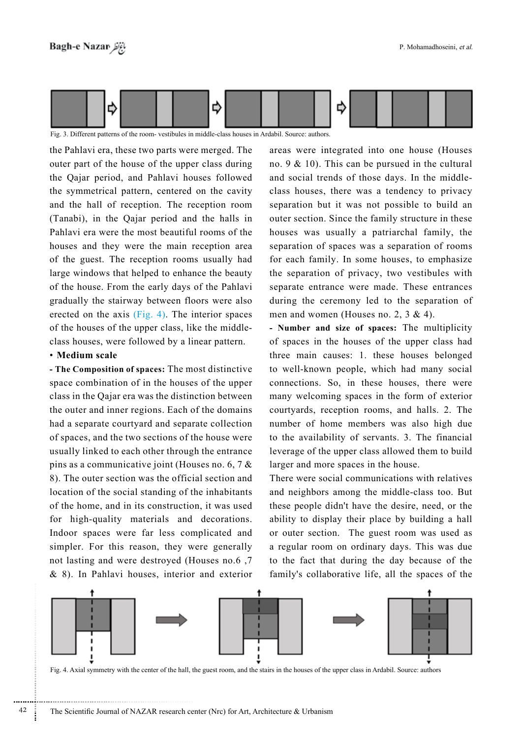

Fig. 3. Different patterns of the room- vestibules in middle-class houses in Ardabil. Source: authors.

the Pahlavi era, these two parts were merged. The outer part of the house of the upper class during the Qajar period, and Pahlavi houses followed the symmetrical pattern, centered on the cavity and the hall of reception. The reception room  $(Tanabi)$ , in the Oajar period and the halls in Pahlavi era were the most beautiful rooms of the houses and they were the main reception area of the guest. The reception rooms usually had large windows that helped to enhance the beauty of the house. From the early days of the Pahlavi gradually the stairway between floors were also erected on the axis  $(Fig. 4)$ . The interior spaces of the houses of the upper class, like the middle-<br>class houses, were followed by a linear pattern.

### • Medium scale

- The Composition of spaces: The most distinctive space combination of in the houses of the upper class in the Qajar era was the distinction between the outer and inner regions. Each of the domains had a separate courtyard and separate collection of spaces, and the two sections of the house were usually linked to each other through the entrance pins as a communicative joint (Houses no. 6, 7  $\&$ 8). The outer section was the official section and location of the social standing of the inhabitants of the home, and in its construction, it was used for high-quality materials and decorations. Indoor spaces were far less complicated and simpler. For this reason, they were generally not lasting and were destroyed (Houses no.6, 7)  $\&$  8). In Pahlavi houses, interior and exterior

areas were integrated into one house (Houses no. 9  $&$  10). This can be pursued in the cultural and social trends of those days. In the middle-<br>class-houses, there was a tendency to privacy separation but it was not possible to build an outer section. Since the family structure in these houses was usually a patriarchal family, the separation of spaces was a separation of rooms for each family. In some houses, to emphasize the separation of privacy, two vestibules with separate entrance were made. These entrances during the ceremony led to the separation of men and women (Houses no. 2,  $3 \& 4$ ).

- Number and size of spaces: The multiplicity of spaces in the houses of the upper class had three main causes: 1. these houses belonged to well-known people, which had many social connections. So, in these houses, there were many welcoming spaces in the form of exterior courtyards, reception rooms, and halls. 2. The number of home members was also high due to the availability of servants. 3. The financial leverage of the upper class allowed them to build larger and more spaces in the house.

There were social communications with relatives and neighbors among the middle-class too. But these people didn't have the desire, need, or the ability to display their place by building a hall or outer section. The guest room was used as a regular room on ordinary days. This was due to the fact that during the day because of the family's collaborative life, all the spaces of the



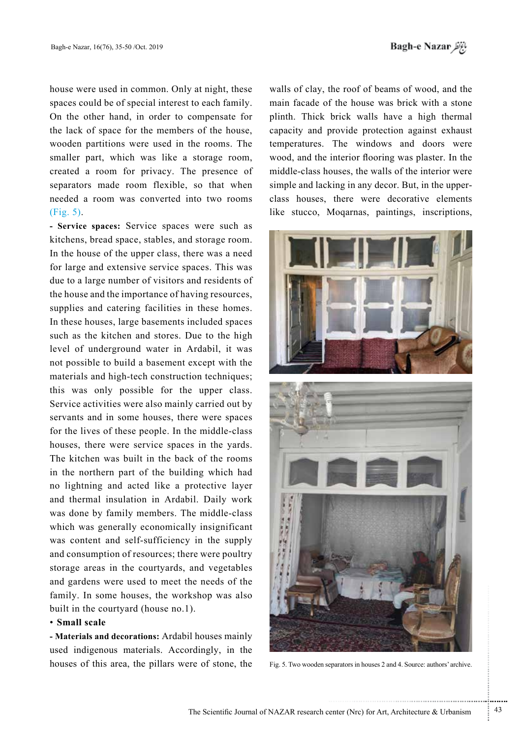house were used in common. Only at night, these spaces could be of special interest to each family. On the other hand, in order to compensate for the lack of space for the members of the house. wooden partitions were used in the rooms. The smaller part, which was like a storage room, created a room for privacy. The presence of separators made room flexible, so that when needed a room was converted into two rooms  $(Fig, 5)$ .

- Service spaces: Service spaces were such as kitchens, bread space, stables, and storage room. In the house of the upper class, there was a need for large and extensive service spaces. This was due to a large number of visitors and residents of the house and the importance of having resources, supplies and catering facilities in these homes. In these houses, large basements included spaces such as the kitchen and stores. Due to the high level of underground water in Ardabil, it was not possible to build a basement except with the materials and high-tech construction techniques; this was only possible for the upper class. Service activities were also mainly carried out by servants and in some houses, there were spaces for the lives of these people. In the middle-class houses, there were service spaces in the yards. The kitchen was built in the back of the rooms in the northern part of the building which had no lightning and acted like a protective layer and thermal insulation in Ardabil. Daily work was done by family members. The middle-class which was generally economically insignificant was content and self-sufficiency in the supply and consumption of resources; there were poultry storage areas in the courtyards, and vegetables and gardens were used to meet the needs of the family. In some houses, the workshop was also built in the courtyard (house no.1).

### • Small scale

- Materials and decorations: Ardabil houses mainly used indigenous materials. Accordingly, in the houses of this area, the pillars were of stone, the

walls of clay, the roof of beams of wood, and the main facade of the house was brick with a stone plinth. Thick brick walls have a high thermal capacity and provide protection against exhaust temperatures. The windows and doors were wood, and the interior flooring was plaster. In the middle-class houses, the walls of the interior were class houses, there were decorative elements simple and lacking in any decor. But, in the upperlike stucco, Mogarnas, paintings, inscriptions,





Fig. 5. Two wooden separators in houses 2 and 4. Source: authors' archive.

.......... ....... ........ ........... ...... ....... ........ .......... ...........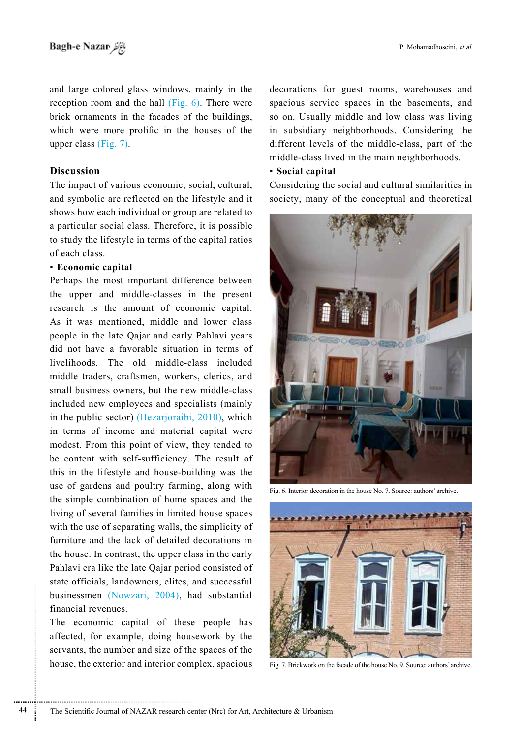and large colored glass windows, mainly in the reception room and the hall  $(Fig. 6)$ . There were brick ornaments in the facades of the buildings, which were more prolific in the houses of the upper class  $(Fig. 7)$ .

## **Discussion**

The impact of various economic, social, cultural, and symbolic are reflected on the lifestyle and it shows how each individual or group are related to a particular social class. Therefore, it is possible to study the lifestyle in terms of the capital ratios of each class.

## **capital Economic**•

Perhaps the most important difference between the upper and middle-classes in the present research is the amount of economic capital. As it was mentioned, middle and lower class people in the late Qajar and early Pahlavi years did not have a favorable situation in terms of livelihoods. The old middle-class included middle traders, craftsmen, workers, clerics, and small business owners, but the new middle-class included new employees and specialists (mainly in the public sector) (Hezarjoraibi,  $2010$ ), which in terms of income and material capital were modest. From this point of view, they tended to be content with self-sufficiency. The result of this in the lifestyle and house-building was the use of gardens and poultry farming, along with the simple combination of home spaces and the living of several families in limited house spaces with the use of separating walls, the simplicity of furniture and the lack of detailed decorations in the house. In contrast, the upper class in the early Pahlavi era like the late Qajar period consisted of state officials, landowners, elites, and successful businessmen (Nowzari, 2004), had substantial financial revenues

The economic capital of these people has affected, for example, doing housework by the servants, the number and size of the spaces of the house, the exterior and interior complex, spacious decorations for guest rooms, warehouses and spacious service spaces in the basements, and so on. Usually middle and low class was living in subsidiary neighborhoods. Considering the different levels of the middle-class, part of the middle-class lived in the main neighborhoods.

### • Social capital

Considering the social and cultural similarities in society, many of the conceptual and theoretical



Fig. 6. Interior decoration in the house No. 7. Source: authors' archive.



Fig. 7. Brickwork on the facade of the house No. 9. Source: authors' archive.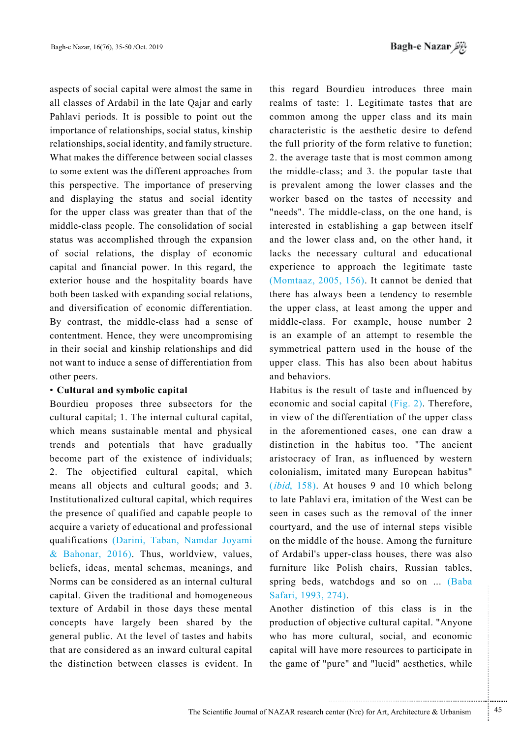*باغ نظر* Bagh-e Nazar

aspects of social capital were almost the same in all classes of Ardabil in the late Qajar and early Pahlavi periods. It is possible to point out the importance of relationships, social status, kinship relationships, social identity, and family structure. What makes the difference between social classes to some extent was the different approaches from this perspective. The importance of preserving and displaying the status and social identity for the upper class was greater than that of the middle-class people. The consolidation of social status was accomplished through the expansion of social relations, the display of economic capital and financial power. In this regard, the exterior house and the hospitality boards have both been tasked with expanding social relations, and diversification of economic differentiation. By contrast, the middle-class had a sense of contentment. Hence, they were uncompromising in their social and kinship relationships and did not want to induce a sense of differentiation from other peers.

### **cultural and symbolic capital**

Bourdieu proposes three subsectors for the cultural capital; 1. The internal cultural capital, which means sustainable mental and physical trends and potentials that have gradually become part of the existence of individuals; 2. The objectified cultural capital, which means all objects and cultural goods; and 3. Institutionalized cultural capital, which requires the presence of qualified and capable people to acquire a variety of educational and professional qualifications (Darini, Taban, Namdar Joyami & Bahonar, 2016). Thus, worldview, values, beliefs, ideas, mental schemas, meanings, and Norms can be considered as an internal cultural capital. Given the traditional and homogeneous texture of Ardabil in those days these mental concepts have largely been shared by the general public. At the level of tastes and habits that are considered as an inward cultural capital the distinction between classes is evident. In this regard Bourdieu introduces three main realms of taste: 1. Legitimate tastes that are common among the upper class and its main characteristic is the aesthetic desire to defend the full priority of the form relative to function; 2. the average taste that is most common among the middle-class; and  $3$ . the popular taste that is prevalent among the lower classes and the worker based on the tastes of necessity and "needs". The middle-class, on the one hand, is interested in establishing a gap between itself and the lower class and, on the other hand, it lacks the necessary cultural and educational experience to approach the legitimate taste (Momtaaz,  $2005$ ,  $156$ ). It cannot be denied that there has always been a tendency to resemble the upper class, at least among the upper and middle-class. For example, house number 2 is an example of an attempt to resemble the symmetrical pattern used in the house of the upper class. This has also been about habitus and behaviors

Habitus is the result of taste and influenced by economic and social capital  $(Fig. 2)$ . Therefore, in view of the differentiation of the upper class in the aforementioned cases, one can draw a distinction in the habitus too. "The ancient aristocracy of Iran, as influenced by western colonialism, imitated many European habitus"  $(ibid, 158)$ . At houses 9 and 10 which belong to late Pahlavi era, imitation of the West can be seen in cases such as the removal of the inner courtyard, and the use of internal steps visible on the middle of the house. Among the furniture of Ardabil's upper-class houses, there was also furniture like Polish chairs, Russian tables, spring beds, watchdogs and so on ... (Baba Safari, 1993, 274).

Another distinction of this class is in the production of objective cultural capital. "Anyone" who has more cultural, social, and economic capital will have more resources to participate in the game of "pure" and "lucid" aesthetics, while

.......... ....... ........ ........... ...... ....... ........ .......... ...........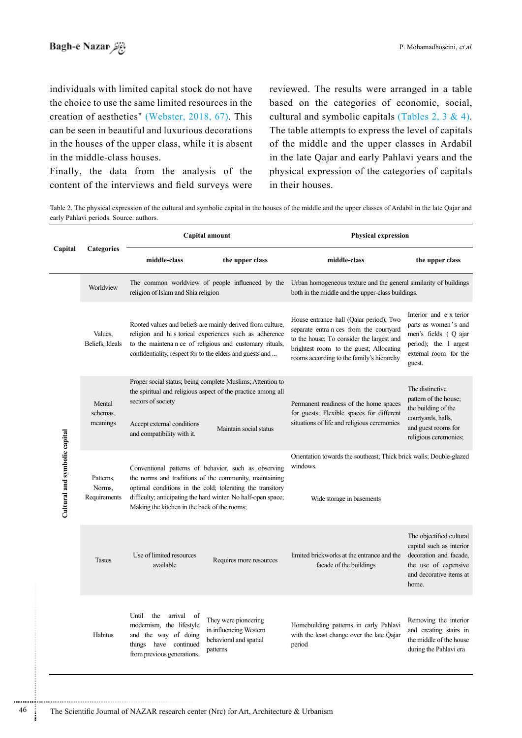individuals with limited capital stock do not have the choice to use the same limited resources in the creation of aesthetics" (Webster,  $2018, 67$ ). This can be seen in beautiful and luxurious decorations in the houses of the upper class, while it is absent in the middle-class houses.

Finally, the data from the analysis of the content of the interviews and field surveys were

reviewed. The results were arranged in a table based on the categories of economic, social, cultural and symbolic capitals (Tables 2, 3 & 4). The table attempts to express the level of capitals of the middle and the upper classes in Ardabil in the late Qajar and early Pahlavi years and the physical expression of the categories of capitals in their houses.

Table 2. The physical expression of the cultural and symbolic capital in the houses of the middle and the upper classes of Ardabil in the late Qajar and early Pahlavi periods. Source: authors.

|                               | Categories                          |                                                                                                                                                                                                                                                                                              | Capital amount                                                                                                                                                                                                                                 | <b>Physical expression</b>                                                                                                                                                                                              |                                                                                                                                            |  |
|-------------------------------|-------------------------------------|----------------------------------------------------------------------------------------------------------------------------------------------------------------------------------------------------------------------------------------------------------------------------------------------|------------------------------------------------------------------------------------------------------------------------------------------------------------------------------------------------------------------------------------------------|-------------------------------------------------------------------------------------------------------------------------------------------------------------------------------------------------------------------------|--------------------------------------------------------------------------------------------------------------------------------------------|--|
| Capital                       |                                     | middle-class                                                                                                                                                                                                                                                                                 | the upper class                                                                                                                                                                                                                                | middle-class                                                                                                                                                                                                            | the upper class                                                                                                                            |  |
| Cultural and symbolic capital | Worldview                           | religion of Islam and Shia religion                                                                                                                                                                                                                                                          | The common worldview of people influenced by the                                                                                                                                                                                               | Urban homogeneous texture and the general similarity of buildings<br>both in the middle and the upper-class buildings.                                                                                                  |                                                                                                                                            |  |
|                               | Values,<br>Beliefs, Ideals          |                                                                                                                                                                                                                                                                                              | Rooted values and beliefs are mainly derived from culture,<br>religion and hi s torical experiences such as adherence<br>to the maintena n ce of religious and customary rituals,<br>confidentiality, respect for to the elders and guests and | House entrance hall (Qajar period); Two<br>separate entra n ces from the courtyard<br>to the house; To consider the largest and<br>brightest room to the guest; Allocating<br>rooms according to the family's hierarchy | Interior and e x terior<br>parts as women's and<br>men's fields (Q ajar<br>period); the 1 argest<br>external room for the<br>guest.        |  |
|                               | Mental<br>schemas.<br>meanings      | sectors of society<br>Accept external conditions<br>and compatibility with it.                                                                                                                                                                                                               | Proper social status; being complete Muslims; Attention to<br>the spiritual and religious aspect of the practice among all<br>Maintain social status                                                                                           | Permanent readiness of the home spaces<br>for guests; Flexible spaces for different<br>situations of life and religious ceremonies                                                                                      | The distinctive<br>pattern of the house;<br>the building of the<br>courtyards, halls,<br>and guest rooms for<br>religious ceremonies;      |  |
|                               | Patterns.<br>Norms,<br>Requirements | Conventional patterns of behavior, such as observing<br>the norms and traditions of the community, maintaining<br>optimal conditions in the cold; tolerating the transitory<br>difficulty; anticipating the hard winter. No half-open space;<br>Making the kitchen in the back of the rooms; |                                                                                                                                                                                                                                                | Orientation towards the southeast; Thick brick walls; Double-glazed<br>windows.<br>Wide storage in basements                                                                                                            |                                                                                                                                            |  |
|                               | <b>Tastes</b>                       | Use of limited resources<br>available                                                                                                                                                                                                                                                        | Requires more resources                                                                                                                                                                                                                        | limited brickworks at the entrance and the<br>facade of the buildings                                                                                                                                                   | The objectified cultural<br>capital such as interior<br>decoration and facade,<br>the use of expensive<br>and decorative items at<br>home. |  |
|                               | Habitus                             | Until<br>the<br>arrival<br>of<br>modernism, the lifestyle<br>and the way of doing<br>things have continued<br>from previous generations.                                                                                                                                                     | They were pioneering<br>in influencing Western<br>behavioral and spatial<br>patterns                                                                                                                                                           | Homebuilding patterns in early Pahlavi<br>with the least change over the late Qajar<br>period                                                                                                                           | Removing the interior<br>and creating stairs in<br>the middle of the house<br>during the Pahlavi era                                       |  |

<sup>46</sup> The Scientific Journal of NAZAR research center (Nrc) for Art, Architecture & Urbanism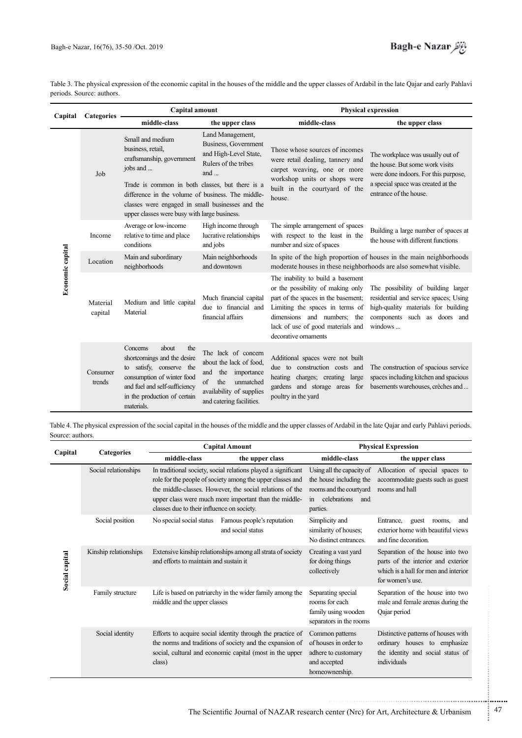Table 3. The physical expression of the economic capital in the houses of the middle and the upper classes of Ardabil in the late Qajar and early Pahlavi periods. Source: authors.

| Capital          | <b>Categories</b>   | Capital amount                                                                                                                                                                                   |                                                                                                                                                           | <b>Physical expression</b>                                                                                                                                                                                                                   |                                                                                                                                                                             |  |
|------------------|---------------------|--------------------------------------------------------------------------------------------------------------------------------------------------------------------------------------------------|-----------------------------------------------------------------------------------------------------------------------------------------------------------|----------------------------------------------------------------------------------------------------------------------------------------------------------------------------------------------------------------------------------------------|-----------------------------------------------------------------------------------------------------------------------------------------------------------------------------|--|
|                  |                     | middle-class                                                                                                                                                                                     | the upper class                                                                                                                                           | middle-class                                                                                                                                                                                                                                 | the upper class                                                                                                                                                             |  |
| Economic capital | Job                 | Small and medium<br>business, retail,<br>craftsmanship, government<br>jobs and<br>Trade is common in both classes, but there is a<br>difference in the volume of business. The middle-           | Land Management,<br><b>Business, Government</b><br>and High-Level State,<br>Rulers of the tribes<br>and $\ldots$                                          | Those whose sources of incomes<br>were retail dealing, tannery and<br>carpet weaving, one or more<br>workshop units or shops were<br>built in the courtyard of the                                                                           | The workplace was usually out of<br>the house. But some work visits<br>were done indoors. For this purpose,<br>a special space was created at the<br>entrance of the house. |  |
|                  |                     | classes were engaged in small businesses and the<br>upper classes were busy with large business.                                                                                                 |                                                                                                                                                           | house.                                                                                                                                                                                                                                       |                                                                                                                                                                             |  |
|                  | Income              | Average or low-income<br>relative to time and place<br>conditions                                                                                                                                | High income through<br>lucrative relationships<br>and jobs                                                                                                | The simple arrangement of spaces<br>with respect to the least in the<br>number and size of spaces                                                                                                                                            | Building a large number of spaces at<br>the house with different functions                                                                                                  |  |
|                  | Location            | Main and subordinary<br>neighborhoods                                                                                                                                                            | Main neighborhoods<br>and downtown                                                                                                                        | In spite of the high proportion of houses in the main neighborhoods<br>moderate houses in these neighborhoods are also somewhat visible.                                                                                                     |                                                                                                                                                                             |  |
|                  | Material<br>capital | Medium and little capital<br>Material                                                                                                                                                            | Much financial capital<br>due to financial and<br>financial affairs                                                                                       | The inability to build a basement<br>or the possibility of making only<br>part of the spaces in the basement;<br>Limiting the spaces in terms of<br>dimensions and numbers; the<br>lack of use of good materials and<br>decorative ornaments | The possibility of building larger<br>residential and service spaces; Using<br>high-quality materials for building<br>components such as doors and<br>windows               |  |
|                  | Consumer<br>trends  | about<br>Concerns<br>the<br>shortcomings and the desire<br>to satisfy, conserve the<br>consumption of winter food<br>and fuel and self-sufficiency<br>in the production of certain<br>materials. | The lack of concern<br>about the lack of food,<br>the importance<br>and<br>the<br>unmatched<br>of<br>availability of supplies<br>and catering facilities. | Additional spaces were not built<br>due to construction costs and<br>heating charges; creating large<br>gardens and storage areas for<br>poultry in the yard                                                                                 | The construction of spacious service<br>spaces including kitchen and spacious<br>basements warehouses, crèches and                                                          |  |

Table 4. The physical expression of the social capital in the houses of the middle and the upper classes of Ardabil in the late Qajar and early Pahlavi periods. Source: authors.

| Capital        | <b>Categories</b>     |                                                                                                       | <b>Capital Amount</b>                                                                                                                                                                                                                            | <b>Physical Expression</b>                                                                        |                                                                                                                                    |  |
|----------------|-----------------------|-------------------------------------------------------------------------------------------------------|--------------------------------------------------------------------------------------------------------------------------------------------------------------------------------------------------------------------------------------------------|---------------------------------------------------------------------------------------------------|------------------------------------------------------------------------------------------------------------------------------------|--|
|                |                       | middle-class                                                                                          | the upper class                                                                                                                                                                                                                                  | middle-class                                                                                      | the upper class                                                                                                                    |  |
| Social capital | Social relationships  | classes due to their influence on society.                                                            | In traditional society, social relations played a significant<br>role for the people of society among the upper classes and<br>the middle-classes. However, the social relations of the<br>upper class were much more important than the middle- | the house including the<br>rooms and the courtyard<br>celebrations<br>in<br>and<br>parties.       | Using all the capacity of Allocation of special spaces to<br>accommodate guests such as guest<br>rooms and hall                    |  |
|                | Social position       | No special social status                                                                              | Famous people's reputation<br>and social status                                                                                                                                                                                                  | Simplicity and<br>similarity of houses;<br>No distinct entrances.                                 | Entrance.<br>guest<br>rooms.<br>and<br>exterior home with beautiful views<br>and fine decoration.                                  |  |
|                | Kinship relationships | Extensive kinship relationships among all strata of society<br>and efforts to maintain and sustain it |                                                                                                                                                                                                                                                  | Creating a vast yard<br>for doing things<br>collectively                                          | Separation of the house into two<br>parts of the interior and exterior<br>which is a hall for men and interior<br>for women's use. |  |
|                | Family structure      | Life is based on patriarchy in the wider family among the<br>middle and the upper classes             |                                                                                                                                                                                                                                                  | Separating special<br>rooms for each<br>family using wooden<br>separators in the rooms            | Separation of the house into two<br>male and female arenas during the<br>Qajar period                                              |  |
|                | Social identity       | class)                                                                                                | Efforts to acquire social identity through the practice of<br>the norms and traditions of society and the expansion of<br>social, cultural and economic capital (most in the upper                                                               | Common patterns<br>of houses in order to<br>adhere to customary<br>and accepted<br>homeownership. | Distinctive patterns of houses with<br>ordinary houses to emphasize<br>the identity and social status of<br>individuals            |  |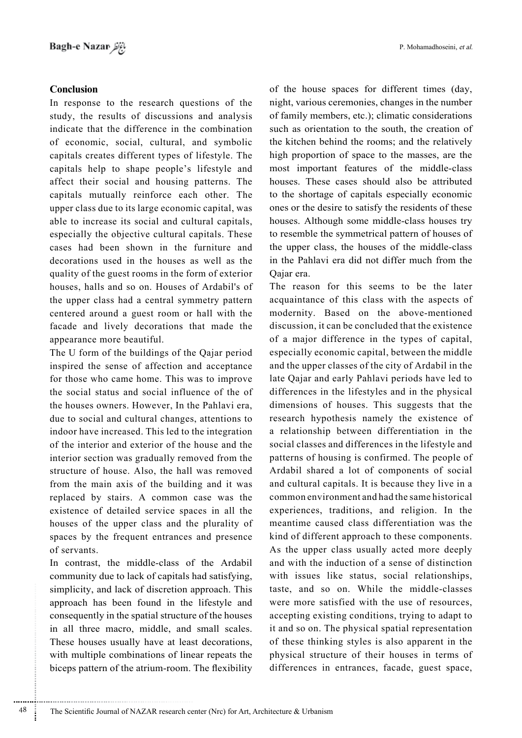## **Conclusion**

In response to the research questions of the study, the results of discussions and analysis indicate that the difference in the combination of economic, social, cultural, and symbolic capitals creates different types of lifestyle. The capitals help to shape people's lifestyle and affect their social and housing patterns. The capitals mutually reinforce each other. The upper class due to its large economic capital, was able to increase its social and cultural capitals, especially the objective cultural capitals. These cases had been shown in the furniture and decorations used in the houses as well as the quality of the guest rooms in the form of exterior houses, halls and so on. Houses of Ardabil's of the upper class had a central symmetry pattern centered around a guest room or hall with the facade and lively decorations that made the appearance more beautiful.

The U form of the buildings of the Qajar period inspired the sense of affection and acceptance for those who came home. This was to improve the social status and social influence of the of the houses owners. However, In the Pahlavi era, due to social and cultural changes, attentions to indoor have increased. This led to the integration of the interior and exterior of the house and the interior section was gradually removed from the structure of house. Also, the hall was removed from the main axis of the building and it was replaced by stairs. A common case was the existence of detailed service spaces in all the houses of the upper class and the plurality of spaces by the frequent entrances and presence of servants.

In contrast, the middle-class of the Ardabil community due to lack of capitals had satisfying, simplicity, and lack of discretion approach. This approach has been found in the lifestyle and consequently in the spatial structure of the houses in all three macro, middle, and small scales. These houses usually have at least decorations, with multiple combinations of linear repeats the biceps pattern of the atrium-room. The flexibility

of the house spaces for different times (day, night, various ceremonies, changes in the number of family members, etc.); climatic considerations such as orientation to the south, the creation of the kitchen behind the rooms; and the relatively high proportion of space to the masses, are the most important features of the middle-class houses. These cases should also be attributed to the shortage of capitals especially economic ones or the desire to satisfy the residents of these houses. Although some middle-class houses try to resemble the symmetrical pattern of houses of the upper class, the houses of the middle-class in the Pahlavi era did not differ much from the Oajar era.

The reason for this seems to be the later acquaintance of this class with the aspects of modernity. Based on the above-mentioned discussion, it can be concluded that the existence of a major difference in the types of capital, especially economic capital, between the middle and the upper classes of the city of Ardabil in the late Qajar and early Pahlavi periods have led to differences in the lifestyles and in the physical dimensions of houses. This suggests that the research hypothesis namely the existence of a relationship between differentiation in the social classes and differences in the lifestyle and patterns of housing is confirmed. The people of Ardabil shared a lot of components of social and cultural capitals. It is because they live in a common environment and had the same historical experiences, traditions, and religion. In the meantime caused class differentiation was the kind of different approach to these components. As the upper class usually acted more deeply and with the induction of a sense of distinction with issues like status, social relationships, taste, and so on. While the middle-classes were more satisfied with the use of resources, accepting existing conditions, trying to adapt to it and so on. The physical spatial representation of these thinking styles is also apparent in the physical structure of their houses in terms of differences in entrances, facade, guest space,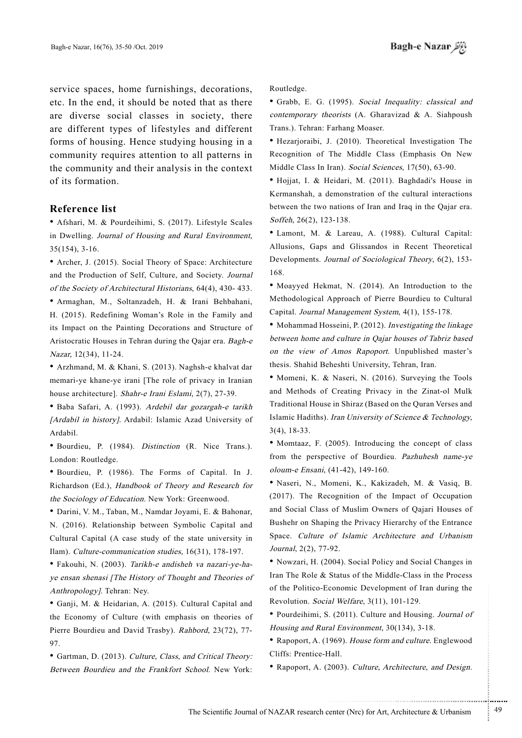service spaces, home furnishings, decorations, etc. In the end, it should be noted that as there are diverse social classes in society, there are different types of lifestyles and different forms of housing. Hence studying housing in a community requires attention to all patterns in the community and their analysis in the context of its formation.

### **Reference** list

• Afshari, M. & Pourdeihimi, S. (2017). Lifestyle Scales in Dwelling. Journal of Housing and Rural Environment.  $35(154)$ ,  $3-16$ .

• Archer, J. (2015). Social Theory of Space: Architecture and the Production of Self, Culture, and Society. Journal of the Society of Architectural Historians, 64(4), 430-433.

• Armaghan, M., Soltanzadeh, H. & Irani Behbahani, H. (2015). Redefining Woman's Role in the Family and its Impact on the Painting Decorations and Structure of Aristocratic Houses in Tehran during the Qajar era. Bagh-e Nazar, 12(34), 11-24.

• Arzhmand, M. & Khani, S. (2013). Naghsh-e khalvat dar memari-ye khane-ye irani [The role of privacy in Iranian house architecture]. Shahr-e Irani Eslami, 2(7), 27-39.

• Baba Safari, A. (1993). Ardebil dar gozargah-e tarikh [Ardabil in history]. Ardabil: Islamic Azad University of .Ardabil

• Bourdieu, P. (1984). Distinction (R. Nice Trans.). London: Routledge.

. Bourdieu, P. (1986). The Forms of Capital. In J. Richardson (Ed.), Handbook of Theory and Research for the Sociology of Education. New York: Greenwood.

\* Darini, V. M., Taban, M., Namdar Joyami, E. & Bahonar, N. (2016). Relationship between Symbolic Capital and Cultural Capital (A case study of the state university in Ilam). Culture-communication studies,  $16(31)$ ,  $178-197$ .

ye ensan shenasi [The History of Thought and Theories of • Fakouhi, N. (2003). Tarikh-e andisheh va nazari-ye-ha-Anthropology]. Tehran: Ney.

• Ganji, M. & Heidarian, A. (2015). Cultural Capital and the Economy of Culture (with emphasis on theories of Pierre Bourdieu and David Trasby). Rahbord, 23(72), 77-97.

• Gartman, D. (2013). Culture, Class, and Critical Theory: Between Bourdieu and the Frankfort School. New York:

.Routledge

• Grabb, E. G. (1995). Social Inequality: classical and contemporary theorists (A. Gharavizad  $&$  A. Siahpoush Trans.). Tehran: Farhang Moaser.

• Hezarjoraibi, J. (2010). Theoretical Investigation The Recognition of The Middle Class (Emphasis On New Middle Class In Iran). Social Sciences, 17(50), 63-90.

• Hojjat, I. & Heidari, M. (2011). Baghdadi's House in Kermanshah, a demonstration of the cultural interactions between the two nations of Iran and Iraq in the Oajar era. Soffeh, 26(2), 123-138.

• Lamont, M. & Lareau, A. (1988). Cultural Capital: Allusions, Gaps and Glissandos in Recent Theoretical Developments. Journal of Sociological Theory, 6(2), 153-168.

• Moayyed Hekmat, N. (2014). An Introduction to the Methodological Approach of Pierre Bourdieu to Cultural Capital. Journal Management System, 4(1), 155-178.

• Mohammad Hosseini, P. (2012). Investigating the linkage between home and culture in Qajar houses of Tabriz based on the view of Amos Rapoport. Unpublished master's thesis. Shahid Beheshti University, Tehran, Iran.

• Momeni, K. & Naseri, N. (2016). Surveying the Tools and Methods of Creating Privacy in the Zinat-ol Mulk Traditional House in Shiraz (Based on the Quran Verses and Islamic Hadiths). Iran University of Science & Technology,  $3(4)$ , 18-33.

• Momtaaz, F. (2005). Introducing the concept of class from the perspective of Bourdieu. Pazhuhesh name-ve oloum-e Ensani, (41-42), 149-160.

· Naseri, N., Momeni, K., Kakizadeh, M. & Vasiq, B.  $(2017)$ . The Recognition of the Impact of Occupation and Social Class of Muslim Owners of Qajari Houses of Bushehr on Shaping the Privacy Hierarchy of the Entrance Space. Culture of Islamic Architecture and Urbanism Journal, 2(2), 77-92.

• Nowzari, H. (2004). Social Policy and Social Changes in Iran The Role & Status of the Middle-Class in the Process of the Politico-Economic Development of Iran during the Revolution. Social Welfare, 3(11), 101-129.

• Pourdeihimi, S. (2011). Culture and Housing. Journal of Housing and Rural Environment, 30(134), 3-18.

• Rapoport, A. (1969). House form and culture. Englewood Cliffs: Prentice-Hall.

• Rapoport, A. (2003). Culture, Architecture, and Design.

.......... ....... ........ ........... ...... ....... ........ .......... ...........